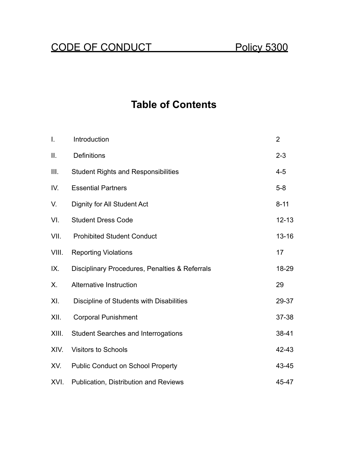# CODE OF CONDUCT Policy 5300

# **Table of Contents**

| I.    | Introduction                                   | $\overline{2}$ |
|-------|------------------------------------------------|----------------|
| II.   | <b>Definitions</b>                             | $2 - 3$        |
| Ш.    | <b>Student Rights and Responsibilities</b>     | $4 - 5$        |
| IV.   | <b>Essential Partners</b>                      | $5 - 8$        |
| V.    | <b>Dignity for All Student Act</b>             | $8 - 11$       |
| VI.   | <b>Student Dress Code</b>                      | $12 - 13$      |
| VII.  | <b>Prohibited Student Conduct</b>              | $13 - 16$      |
| VIII. | <b>Reporting Violations</b>                    | 17             |
| IX.   | Disciplinary Procedures, Penalties & Referrals | 18-29          |
| Х.    | Alternative Instruction                        | 29             |
| XI.   | Discipline of Students with Disabilities       | 29-37          |
| XII.  | <b>Corporal Punishment</b>                     | $37 - 38$      |
| XIII. | <b>Student Searches and Interrogations</b>     | 38-41          |
| XIV.  | <b>Visitors to Schools</b>                     | 42-43          |
| XV.   | <b>Public Conduct on School Property</b>       | 43-45          |
| XVI.  | <b>Publication, Distribution and Reviews</b>   | 45-47          |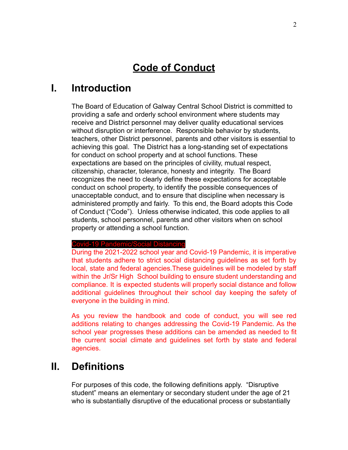## **Code of Conduct**

## **I. Introduction**

The Board of Education of Galway Central School District is committed to providing a safe and orderly school environment where students may receive and District personnel may deliver quality educational services without disruption or interference. Responsible behavior by students, teachers, other District personnel, parents and other visitors is essential to achieving this goal. The District has a long-standing set of expectations for conduct on school property and at school functions. These expectations are based on the principles of civility, mutual respect, citizenship, character, tolerance, honesty and integrity. The Board recognizes the need to clearly define these expectations for acceptable conduct on school property, to identify the possible consequences of unacceptable conduct, and to ensure that discipline when necessary is administered promptly and fairly. To this end, the Board adopts this Code of Conduct ("Code"). Unless otherwise indicated, this code applies to all students, school personnel, parents and other visitors when on school property or attending a school function.

#### Covid-19 Pandemic/Social Distancing

During the 2021-2022 school year and Covid-19 Pandemic, it is imperative that students adhere to strict social distancing guidelines as set forth by local, state and federal agencies.These guidelines will be modeled by staff within the Jr/Sr High School building to ensure student understanding and compliance. It is expected students will properly social distance and follow additional guidelines throughout their school day keeping the safety of everyone in the building in mind.

As you review the handbook and code of conduct, you will see red additions relating to changes addressing the Covid-19 Pandemic. As the school year progresses these additions can be amended as needed to fit the current social climate and guidelines set forth by state and federal agencies.

## **II. Definitions**

For purposes of this code, the following definitions apply. "Disruptive student" means an elementary or secondary student under the age of 21 who is substantially disruptive of the educational process or substantially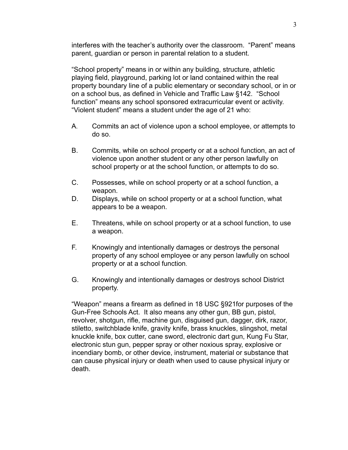interferes with the teacher's authority over the classroom. "Parent" means parent, guardian or person in parental relation to a student.

"School property" means in or within any building, structure, athletic playing field, playground, parking lot or land contained within the real property boundary line of a public elementary or secondary school, or in or on a school bus, as defined in Vehicle and Traffic Law §142. "School function" means any school sponsored extracurricular event or activity. "Violent student" means a student under the age of 21 who:

- A. Commits an act of violence upon a school employee, or attempts to do so.
- B. Commits, while on school property or at a school function, an act of violence upon another student or any other person lawfully on school property or at the school function, or attempts to do so.
- C. Possesses, while on school property or at a school function, a weapon.
- D. Displays, while on school property or at a school function, what appears to be a weapon.
- E. Threatens, while on school property or at a school function, to use a weapon.
- F. Knowingly and intentionally damages or destroys the personal property of any school employee or any person lawfully on school property or at a school function.
- G. Knowingly and intentionally damages or destroys school District property.

"Weapon" means a firearm as defined in 18 USC §921for purposes of the Gun-Free Schools Act. It also means any other gun, BB gun, pistol, revolver, shotgun, rifle, machine gun, disguised gun, dagger, dirk, razor, stiletto, switchblade knife, gravity knife, brass knuckles, slingshot, metal knuckle knife, box cutter, cane sword, electronic dart gun, Kung Fu Star, electronic stun gun, pepper spray or other noxious spray, explosive or incendiary bomb, or other device, instrument, material or substance that can cause physical injury or death when used to cause physical injury or death.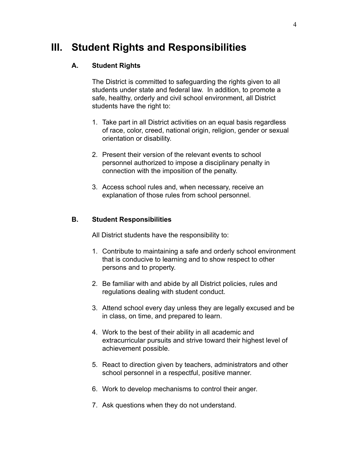## **III. Student Rights and Responsibilities**

### **A. Student Rights**

The District is committed to safeguarding the rights given to all students under state and federal law. In addition, to promote a safe, healthy, orderly and civil school environment, all District students have the right to:

- 1. Take part in all District activities on an equal basis regardless of race, color, creed, national origin, religion, gender or sexual orientation or disability.
- 2. Present their version of the relevant events to school personnel authorized to impose a disciplinary penalty in connection with the imposition of the penalty.
- 3. Access school rules and, when necessary, receive an explanation of those rules from school personnel.

#### **B. Student Responsibilities**

All District students have the responsibility to:

- 1. Contribute to maintaining a safe and orderly school environment that is conducive to learning and to show respect to other persons and to property.
- 2. Be familiar with and abide by all District policies, rules and regulations dealing with student conduct.
- 3. Attend school every day unless they are legally excused and be in class, on time, and prepared to learn.
- 4. Work to the best of their ability in all academic and extracurricular pursuits and strive toward their highest level of achievement possible.
- 5. React to direction given by teachers, administrators and other school personnel in a respectful, positive manner.
- 6. Work to develop mechanisms to control their anger.
- 7. Ask questions when they do not understand.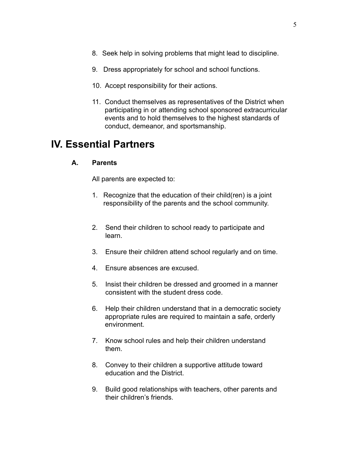- 8. Seek help in solving problems that might lead to discipline.
- 9. Dress appropriately for school and school functions.
- 10. Accept responsibility for their actions.
- 11. Conduct themselves as representatives of the District when participating in or attending school sponsored extracurricular events and to hold themselves to the highest standards of conduct, demeanor, and sportsmanship.

## **IV. Essential Partners**

#### **A. Parents**

All parents are expected to:

- 1. Recognize that the education of their child(ren) is a joint responsibility of the parents and the school community.
- 2. Send their children to school ready to participate and learn.
- 3. Ensure their children attend school regularly and on time.
- 4. Ensure absences are excused.
- 5. Insist their children be dressed and groomed in a manner consistent with the student dress code.
- 6. Help their children understand that in a democratic society appropriate rules are required to maintain a safe, orderly environment.
- 7. Know school rules and help their children understand them.
- 8. Convey to their children a supportive attitude toward education and the District.
- 9. Build good relationships with teachers, other parents and their children's friends.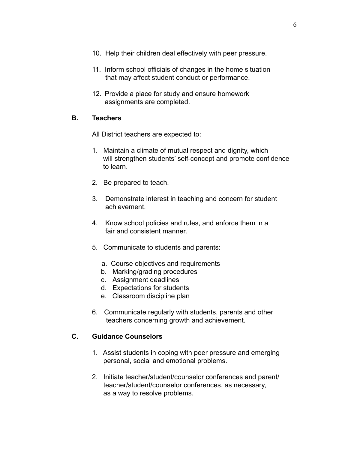- 10. Help their children deal effectively with peer pressure.
- 11. Inform school officials of changes in the home situation that may affect student conduct or performance.
- 12. Provide a place for study and ensure homework assignments are completed.

### **B. Teachers**

All District teachers are expected to:

- 1. Maintain a climate of mutual respect and dignity, which will strengthen students' self-concept and promote confidence to learn.
- 2. Be prepared to teach.
- 3. Demonstrate interest in teaching and concern for student achievement.
- 4. Know school policies and rules, and enforce them in a fair and consistent manner
- 5. Communicate to students and parents:
	- a. Course objectives and requirements
	- b. Marking/grading procedures
	- c. Assignment deadlines
	- d. Expectations for students
	- e. Classroom discipline plan
- 6. Communicate regularly with students, parents and other teachers concerning growth and achievement.

### **C. Guidance Counselors**

- 1. Assist students in coping with peer pressure and emerging personal, social and emotional problems.
- 2. Initiate teacher/student/counselor conferences and parent/ teacher/student/counselor conferences, as necessary, as a way to resolve problems.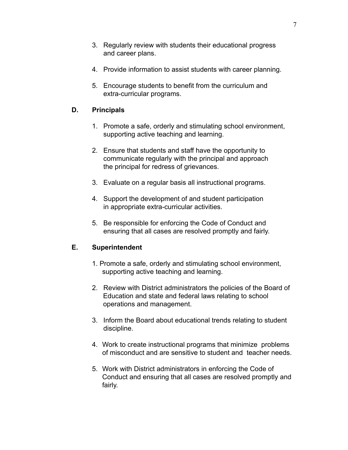- 3. Regularly review with students their educational progress and career plans.
- 4. Provide information to assist students with career planning.
- 5. Encourage students to benefit from the curriculum and extra-curricular programs.

#### **D. Principals**

- 1. Promote a safe, orderly and stimulating school environment, supporting active teaching and learning.
- 2. Ensure that students and staff have the opportunity to communicate regularly with the principal and approach the principal for redress of grievances.
- 3. Evaluate on a regular basis all instructional programs.
- 4. Support the development of and student participation in appropriate extra-curricular activities.
- 5. Be responsible for enforcing the Code of Conduct and ensuring that all cases are resolved promptly and fairly.

### **E. Superintendent**

- 1. Promote a safe, orderly and stimulating school environment, supporting active teaching and learning.
- 2. Review with District administrators the policies of the Board of Education and state and federal laws relating to school operations and management.
- 3. Inform the Board about educational trends relating to student discipline.
- 4. Work to create instructional programs that minimize problems of misconduct and are sensitive to student and teacher needs.
- 5. Work with District administrators in enforcing the Code of Conduct and ensuring that all cases are resolved promptly and fairly.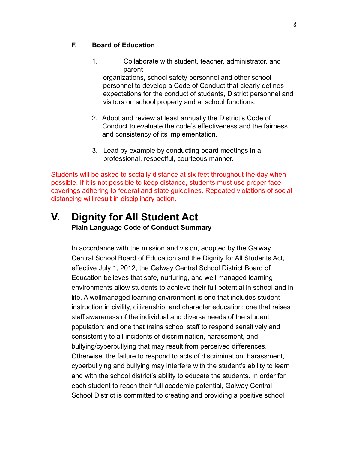## **F. Board of Education**

1. Collaborate with student, teacher, administrator, and parent

organizations, school safety personnel and other school personnel to develop a Code of Conduct that clearly defines expectations for the conduct of students, District personnel and visitors on school property and at school functions.

- 2. Adopt and review at least annually the District's Code of Conduct to evaluate the code's effectiveness and the fairness and consistency of its implementation.
- 3. Lead by example by conducting board meetings in a professional, respectful, courteous manner.

Students will be asked to socially distance at six feet throughout the day when possible. If it is not possible to keep distance, students must use proper face coverings adhering to federal and state guidelines. Repeated violations of social distancing will result in disciplinary action.

## **V. Dignity for All Student Act Plain Language Code of Conduct Summary**

In accordance with the mission and vision, adopted by the Galway Central School Board of Education and the Dignity for All Students Act, effective July 1, 2012, the Galway Central School District Board of Education believes that safe, nurturing, and well managed learning environments allow students to achieve their full potential in school and in life. A wellmanaged learning environment is one that includes student instruction in civility, citizenship, and character education; one that raises staff awareness of the individual and diverse needs of the student population; and one that trains school staff to respond sensitively and consistently to all incidents of discrimination, harassment, and bullying/cyberbullying that may result from perceived differences. Otherwise, the failure to respond to acts of discrimination, harassment, cyberbullying and bullying may interfere with the student's ability to learn and with the school district's ability to educate the students. In order for each student to reach their full academic potential, Galway Central School District is committed to creating and providing a positive school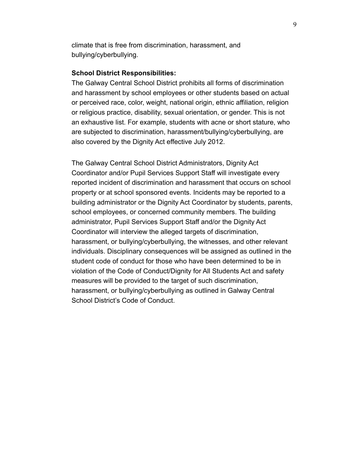climate that is free from discrimination, harassment, and bullying/cyberbullying.

#### **School District Responsibilities:**

The Galway Central School District prohibits all forms of discrimination and harassment by school employees or other students based on actual or perceived race, color, weight, national origin, ethnic affiliation, religion or religious practice, disability, sexual orientation, or gender. This is not an exhaustive list. For example, students with acne or short stature, who are subjected to discrimination, harassment/bullying/cyberbullying, are also covered by the Dignity Act effective July 2012.

The Galway Central School District Administrators, Dignity Act Coordinator and/or Pupil Services Support Staff will investigate every reported incident of discrimination and harassment that occurs on school property or at school sponsored events. Incidents may be reported to a building administrator or the Dignity Act Coordinator by students, parents, school employees, or concerned community members. The building administrator, Pupil Services Support Staff and/or the Dignity Act Coordinator will interview the alleged targets of discrimination, harassment, or bullying/cyberbullying, the witnesses, and other relevant individuals. Disciplinary consequences will be assigned as outlined in the student code of conduct for those who have been determined to be in violation of the Code of Conduct/Dignity for All Students Act and safety measures will be provided to the target of such discrimination, harassment, or bullying/cyberbullying as outlined in Galway Central School District's Code of Conduct.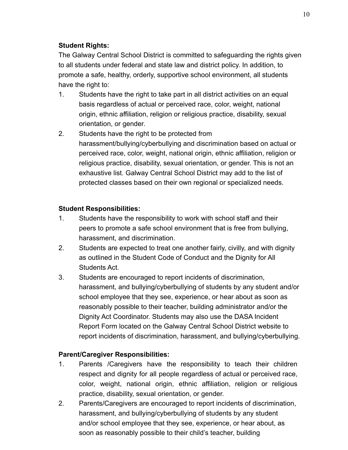## **Student Rights:**

The Galway Central School District is committed to safeguarding the rights given to all students under federal and state law and district policy. In addition, to promote a safe, healthy, orderly, supportive school environment, all students have the right to:

- 1. Students have the right to take part in all district activities on an equal basis regardless of actual or perceived race, color, weight, national origin, ethnic affiliation, religion or religious practice, disability, sexual orientation, or gender.
- 2. Students have the right to be protected from harassment/bullying/cyberbullying and discrimination based on actual or perceived race, color, weight, national origin, ethnic affiliation, religion or religious practice, disability, sexual orientation, or gender. This is not an exhaustive list. Galway Central School District may add to the list of protected classes based on their own regional or specialized needs.

## **Student Responsibilities:**

- 1. Students have the responsibility to work with school staff and their peers to promote a safe school environment that is free from bullying, harassment, and discrimination.
- 2. Students are expected to treat one another fairly, civilly, and with dignity as outlined in the Student Code of Conduct and the Dignity for All Students Act.
- 3. Students are encouraged to report incidents of discrimination, harassment, and bullying/cyberbullying of students by any student and/or school employee that they see, experience, or hear about as soon as reasonably possible to their teacher, building administrator and/or the Dignity Act Coordinator. Students may also use the DASA Incident Report Form located on the Galway Central School District website to report incidents of discrimination, harassment, and bullying/cyberbullying.

## **Parent/Caregiver Responsibilities:**

- 1. Parents /Caregivers have the responsibility to teach their children respect and dignity for all people regardless of actual or perceived race, color, weight, national origin, ethnic affiliation, religion or religious practice, disability, sexual orientation, or gender.
- 2. Parents/Caregivers are encouraged to report incidents of discrimination, harassment, and bullying/cyberbullying of students by any student and/or school employee that they see, experience, or hear about, as soon as reasonably possible to their child's teacher, building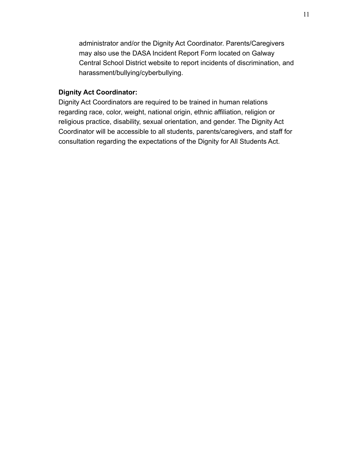administrator and/or the Dignity Act Coordinator. Parents/Caregivers may also use the DASA Incident Report Form located on Galway Central School District website to report incidents of discrimination, and harassment/bullying/cyberbullying.

#### **Dignity Act Coordinator:**

Dignity Act Coordinators are required to be trained in human relations regarding race, color, weight, national origin, ethnic affiliation, religion or religious practice, disability, sexual orientation, and gender. The Dignity Act Coordinator will be accessible to all students, parents/caregivers, and staff for consultation regarding the expectations of the Dignity for All Students Act.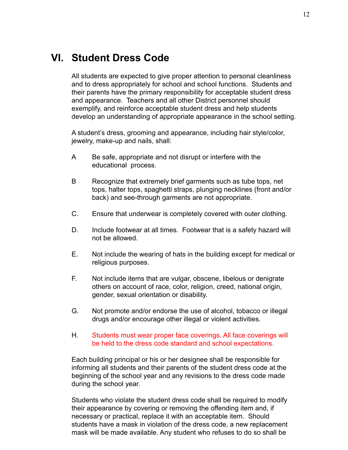## **VI. Student Dress Code**

All students are expected to give proper attention to personal cleanliness and to dress appropriately for school and school functions. Students and their parents have the primary responsibility for acceptable student dress and appearance. Teachers and all other District personnel should exemplify, and reinforce acceptable student dress and help students develop an understanding of appropriate appearance in the school setting.

A student's dress, grooming and appearance, including hair style/color, jewelry, make-up and nails, shall:

- A Be safe, appropriate and not disrupt or interfere with the educational process.
- B Recognize that extremely brief garments such as tube tops, net tops, halter tops, spaghetti straps, plunging necklines (front and/or back) and see-through garments are not appropriate.
- C. Ensure that underwear is completely covered with outer clothing.
- D. Include footwear at all times. Footwear that is a safety hazard will not be allowed.
- E. Not include the wearing of hats in the building except for medical or religious purposes.
- F. Not include items that are vulgar, obscene, libelous or denigrate others on account of race, color, religion, creed, national origin, gender, sexual orientation or disability.
- G. Not promote and/or endorse the use of alcohol, tobacco or illegal drugs and/or encourage other illegal or violent activities.
- H. Students must wear proper face coverings. All face coverings will be held to the dress code standard and school expectations.

Each building principal or his or her designee shall be responsible for informing all students and their parents of the student dress code at the beginning of the school year and any revisions to the dress code made during the school year.

Students who violate the student dress code shall be required to modify their appearance by covering or removing the offending item and, if necessary or practical, replace it with an acceptable item. Should students have a mask in violation of the dress code, a new replacement mask will be made available. Any student who refuses to do so shall be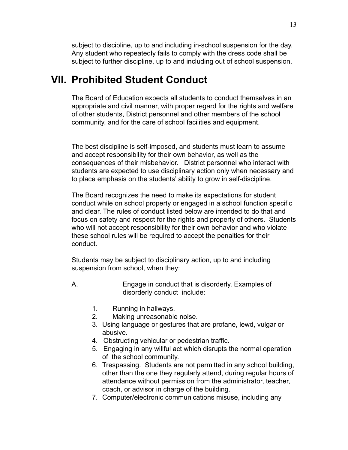subject to discipline, up to and including in-school suspension for the day. Any student who repeatedly fails to comply with the dress code shall be subject to further discipline, up to and including out of school suspension.

## **VII. Prohibited Student Conduct**

The Board of Education expects all students to conduct themselves in an appropriate and civil manner, with proper regard for the rights and welfare of other students, District personnel and other members of the school community, and for the care of school facilities and equipment.

The best discipline is self-imposed, and students must learn to assume and accept responsibility for their own behavior, as well as the consequences of their misbehavior. District personnel who interact with students are expected to use disciplinary action only when necessary and to place emphasis on the students' ability to grow in self-discipline.

The Board recognizes the need to make its expectations for student conduct while on school property or engaged in a school function specific and clear. The rules of conduct listed below are intended to do that and focus on safety and respect for the rights and property of others. Students who will not accept responsibility for their own behavior and who violate these school rules will be required to accept the penalties for their conduct.

Students may be subject to disciplinary action, up to and including suspension from school, when they:

- A. Engage in conduct that is disorderly. Examples of disorderly conduct include:
	- 1. Running in hallways.
	- 2. Making unreasonable noise.
	- 3. Using language or gestures that are profane, lewd, vulgar or abusive.
	- 4. Obstructing vehicular or pedestrian traffic.
	- 5. Engaging in any willful act which disrupts the normal operation of the school community.
	- 6. Trespassing. Students are not permitted in any school building, other than the one they regularly attend, during regular hours of attendance without permission from the administrator, teacher, coach, or advisor in charge of the building.
	- 7. Computer/electronic communications misuse, including any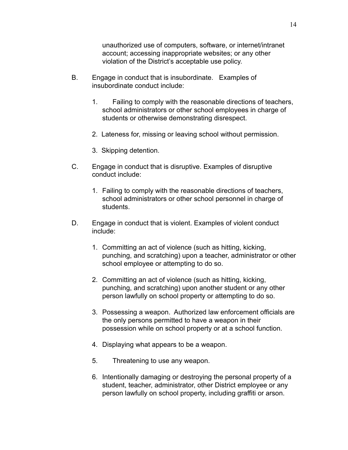unauthorized use of computers, software, or internet/intranet account; accessing inappropriate websites; or any other violation of the District's acceptable use policy.

- B. Engage in conduct that is insubordinate. Examples of insubordinate conduct include:
	- 1. Failing to comply with the reasonable directions of teachers, school administrators or other school employees in charge of students or otherwise demonstrating disrespect.
	- 2. Lateness for, missing or leaving school without permission.
	- 3. Skipping detention.
- C. Engage in conduct that is disruptive. Examples of disruptive conduct include:
	- 1. Failing to comply with the reasonable directions of teachers, school administrators or other school personnel in charge of students.
- D. Engage in conduct that is violent. Examples of violent conduct include:
	- 1. Committing an act of violence (such as hitting, kicking, punching, and scratching) upon a teacher, administrator or other school employee or attempting to do so.
	- 2. Committing an act of violence (such as hitting, kicking, punching, and scratching) upon another student or any other person lawfully on school property or attempting to do so.
	- 3. Possessing a weapon. Authorized law enforcement officials are the only persons permitted to have a weapon in their possession while on school property or at a school function.
	- 4. Displaying what appears to be a weapon.
	- 5. Threatening to use any weapon.
	- 6. Intentionally damaging or destroying the personal property of a student, teacher, administrator, other District employee or any person lawfully on school property, including graffiti or arson.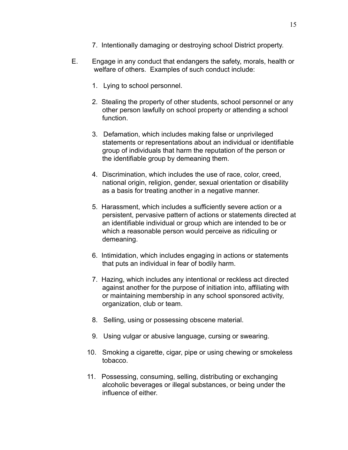- 7. Intentionally damaging or destroying school District property.
- E. Engage in any conduct that endangers the safety, morals, health or welfare of others. Examples of such conduct include:
	- 1. Lying to school personnel.
	- 2. Stealing the property of other students, school personnel or any other person lawfully on school property or attending a school function.
	- 3. Defamation, which includes making false or unprivileged statements or representations about an individual or identifiable group of individuals that harm the reputation of the person or the identifiable group by demeaning them.
	- 4. Discrimination, which includes the use of race, color, creed, national origin, religion, gender, sexual orientation or disability as a basis for treating another in a negative manner.
	- 5. Harassment, which includes a sufficiently severe action or a persistent, pervasive pattern of actions or statements directed at an identifiable individual or group which are intended to be or which a reasonable person would perceive as ridiculing or demeaning.
	- 6. Intimidation, which includes engaging in actions or statements that puts an individual in fear of bodily harm.
	- 7. Hazing, which includes any intentional or reckless act directed against another for the purpose of initiation into, affiliating with or maintaining membership in any school sponsored activity, organization, club or team.
	- 8. Selling, using or possessing obscene material.
	- 9. Using vulgar or abusive language, cursing or swearing.
	- 10. Smoking a cigarette, cigar, pipe or using chewing or smokeless tobacco.
	- 11. Possessing, consuming, selling, distributing or exchanging alcoholic beverages or illegal substances, or being under the influence of either.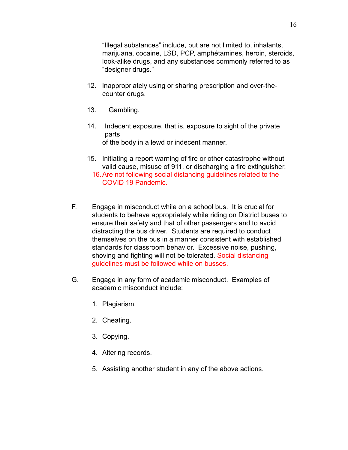"Illegal substances" include, but are not limited to, inhalants, marijuana, cocaine, LSD, PCP, amphétamines, heroin, steroids, look-alike drugs, and any substances commonly referred to as "designer drugs."

- 12. Inappropriately using or sharing prescription and over-thecounter drugs.
- 13. Gambling.
- 14. Indecent exposure, that is, exposure to sight of the private parts of the body in a lewd or indecent manner.
- 15. Initiating a report warning of fire or other catastrophe without valid cause, misuse of 911, or discharging a fire extinguisher. 16.Are not following social distancing guidelines related to the COVID 19 Pandemic.
- F. Engage in misconduct while on a school bus. It is crucial for students to behave appropriately while riding on District buses to ensure their safety and that of other passengers and to avoid distracting the bus driver. Students are required to conduct themselves on the bus in a manner consistent with established standards for classroom behavior. Excessive noise, pushing, shoving and fighting will not be tolerated. Social distancing guidelines must be followed while on busses.
- G. Engage in any form of academic misconduct. Examples of academic misconduct include:
	- 1. Plagiarism.
	- 2. Cheating.
	- 3. Copying.
	- 4. Altering records.
	- 5. Assisting another student in any of the above actions.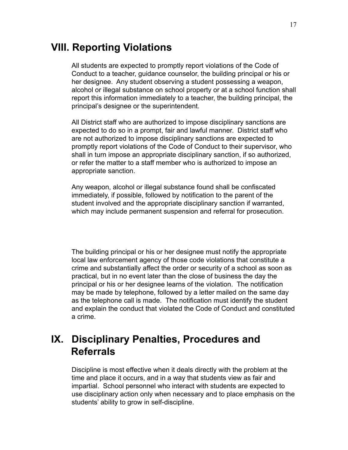## **VIII. Reporting Violations**

All students are expected to promptly report violations of the Code of Conduct to a teacher, guidance counselor, the building principal or his or her designee. Any student observing a student possessing a weapon, alcohol or illegal substance on school property or at a school function shall report this information immediately to a teacher, the building principal, the principal's designee or the superintendent.

All District staff who are authorized to impose disciplinary sanctions are expected to do so in a prompt, fair and lawful manner. District staff who are not authorized to impose disciplinary sanctions are expected to promptly report violations of the Code of Conduct to their supervisor, who shall in turn impose an appropriate disciplinary sanction, if so authorized, or refer the matter to a staff member who is authorized to impose an appropriate sanction.

Any weapon, alcohol or illegal substance found shall be confiscated immediately, if possible, followed by notification to the parent of the student involved and the appropriate disciplinary sanction if warranted, which may include permanent suspension and referral for prosecution.

The building principal or his or her designee must notify the appropriate local law enforcement agency of those code violations that constitute a crime and substantially affect the order or security of a school as soon as practical, but in no event later than the close of business the day the principal or his or her designee learns of the violation. The notification may be made by telephone, followed by a letter mailed on the same day as the telephone call is made. The notification must identify the student and explain the conduct that violated the Code of Conduct and constituted a crime.

## **IX. Disciplinary Penalties, Procedures and Referrals**

Discipline is most effective when it deals directly with the problem at the time and place it occurs, and in a way that students view as fair and impartial. School personnel who interact with students are expected to use disciplinary action only when necessary and to place emphasis on the students' ability to grow in self-discipline.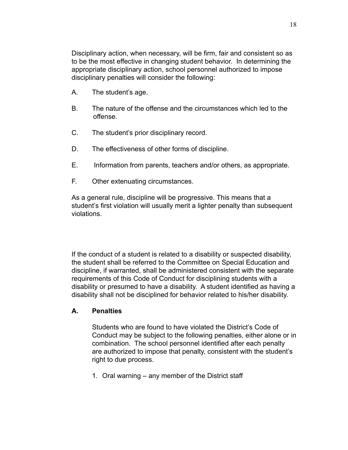Disciplinary action, when necessary, will be firm, fair and consistent so as to be the most effective in changing student behavior. In determining the appropriate disciplinary action, school personnel authorized to impose disciplinary penalties will consider the following:

- A. The student's age.
- B. The nature of the offense and the circumstances which led to the offense.
- C. The student's prior disciplinary record.
- D. The effectiveness of other forms of discipline.
- E. Information from parents, teachers and/or others, as appropriate.
- F. Other extenuating circumstances.

As a general rule, discipline will be progressive. This means that a student's first violation will usually merit a lighter penalty than subsequent violations.

If the conduct of a student is related to a disability or suspected disability, the student shall be referred to the Committee on Special Education and discipline, if warranted, shall be administered consistent with the separate requirements of this Code of Conduct for disciplining students with a disability or presumed to have a disability. A student identified as having a disability shall not be disciplined for behavior related to his/her disability.

### **A. Penalties**

Students who are found to have violated the District's Code of Conduct may be subject to the following penalties, either alone or in combination. The school personnel identified after each penalty are authorized to impose that penalty, consistent with the student's right to due process.

1. Oral warning – any member of the District staff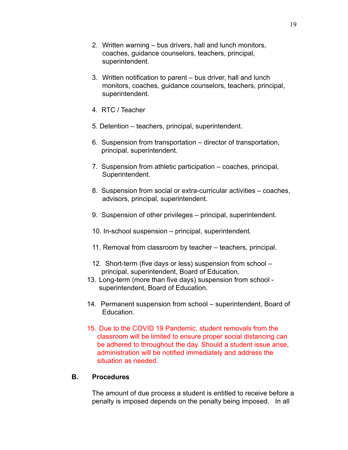- 2. Written warning bus drivers, hall and lunch monitors, coaches, guidance counselors, teachers, principal, superintendent.
- 3. Written notification to parent bus driver, hall and lunch monitors, coaches, guidance counselors, teachers, principal, superintendent.
- 4. RTC / Teacher
- 5. Detention teachers, principal, superintendent.
- 6. Suspension from transportation director of transportation, principal, superintendent.
- 7. Suspension from athletic participation coaches, principal, Superintendent.
- 8. Suspension from social or extra-curricular activities coaches, advisors, principal, superintendent.
- 9. Suspension of other privileges principal, superintendent.
- 10. In-school suspension principal, superintendent.
- 11. Removal from classroom by teacher teachers, principal.
- 12. Short-term (five days or less) suspension from school principal, superintendent, Board of Education.
- 13. Long-term (more than five days) suspension from school superintendent, Board of Education.
- 14. Permanent suspension from school superintendent, Board of **Education**
- 15. Due to the COVID 19 Pandemic, student removals from the classroom will be limited to ensure proper social distancing can be adhered to throughout the day. Should a student issue arise, administration will be notified immediately and address the situation as needed.

#### **B. Procedures**

The amount of due process a student is entitled to receive before a penalty is imposed depends on the penalty being imposed. In all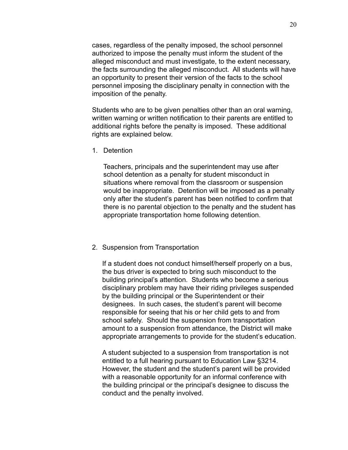cases, regardless of the penalty imposed, the school personnel authorized to impose the penalty must inform the student of the alleged misconduct and must investigate, to the extent necessary, the facts surrounding the alleged misconduct. All students will have an opportunity to present their version of the facts to the school personnel imposing the disciplinary penalty in connection with the imposition of the penalty.

Students who are to be given penalties other than an oral warning, written warning or written notification to their parents are entitled to additional rights before the penalty is imposed. These additional rights are explained below.

1. Detention

Teachers, principals and the superintendent may use after school detention as a penalty for student misconduct in situations where removal from the classroom or suspension would be inappropriate. Detention will be imposed as a penalty only after the student's parent has been notified to confirm that there is no parental objection to the penalty and the student has appropriate transportation home following detention.

#### 2. Suspension from Transportation

If a student does not conduct himself/herself properly on a bus, the bus driver is expected to bring such misconduct to the building principal's attention. Students who become a serious disciplinary problem may have their riding privileges suspended by the building principal or the Superintendent or their designees. In such cases, the student's parent will become responsible for seeing that his or her child gets to and from school safely. Should the suspension from transportation amount to a suspension from attendance, the District will make appropriate arrangements to provide for the student's education.

A student subjected to a suspension from transportation is not entitled to a full hearing pursuant to Education Law §3214. However, the student and the student's parent will be provided with a reasonable opportunity for an informal conference with the building principal or the principal's designee to discuss the conduct and the penalty involved.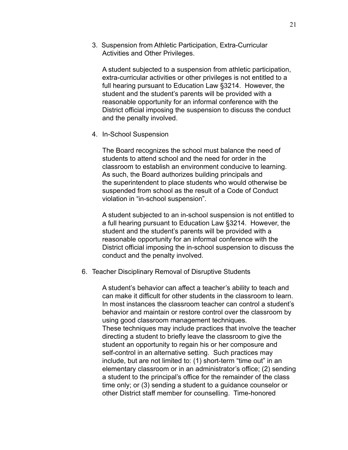3. Suspension from Athletic Participation, Extra-Curricular Activities and Other Privileges.

A student subjected to a suspension from athletic participation, extra-curricular activities or other privileges is not entitled to a full hearing pursuant to Education Law §3214. However, the student and the student's parents will be provided with a reasonable opportunity for an informal conference with the District official imposing the suspension to discuss the conduct and the penalty involved.

4. In-School Suspension

The Board recognizes the school must balance the need of students to attend school and the need for order in the classroom to establish an environment conducive to learning. As such, the Board authorizes building principals and the superintendent to place students who would otherwise be suspended from school as the result of a Code of Conduct violation in "in-school suspension".

A student subjected to an in-school suspension is not entitled to a full hearing pursuant to Education Law §3214. However, the student and the student's parents will be provided with a reasonable opportunity for an informal conference with the District official imposing the in-school suspension to discuss the conduct and the penalty involved.

6. Teacher Disciplinary Removal of Disruptive Students

A student's behavior can affect a teacher's ability to teach and can make it difficult for other students in the classroom to learn. In most instances the classroom teacher can control a student's behavior and maintain or restore control over the classroom by using good classroom management techniques. These techniques may include practices that involve the teacher directing a student to briefly leave the classroom to give the student an opportunity to regain his or her composure and self-control in an alternative setting. Such practices may include, but are not limited to: (1) short-term "time out" in an elementary classroom or in an administrator's office; (2) sending a student to the principal's office for the remainder of the class time only; or (3) sending a student to a guidance counselor or other District staff member for counselling. Time-honored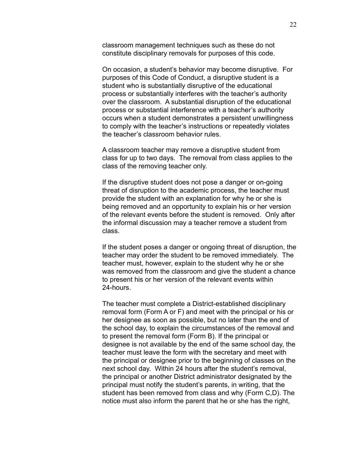classroom management techniques such as these do not constitute disciplinary removals for purposes of this code.

On occasion, a student's behavior may become disruptive. For purposes of this Code of Conduct, a disruptive student is a student who is substantially disruptive of the educational process or substantially interferes with the teacher's authority over the classroom. A substantial disruption of the educational process or substantial interference with a teacher's authority occurs when a student demonstrates a persistent unwillingness to comply with the teacher's instructions or repeatedly violates the teacher's classroom behavior rules.

A classroom teacher may remove a disruptive student from class for up to two days. The removal from class applies to the class of the removing teacher only.

If the disruptive student does not pose a danger or on-going threat of disruption to the academic process, the teacher must provide the student with an explanation for why he or she is being removed and an opportunity to explain his or her version of the relevant events before the student is removed. Only after the informal discussion may a teacher remove a student from class.

If the student poses a danger or ongoing threat of disruption, the teacher may order the student to be removed immediately. The teacher must, however, explain to the student why he or she was removed from the classroom and give the student a chance to present his or her version of the relevant events within 24-hours.

The teacher must complete a District-established disciplinary removal form (Form A or F) and meet with the principal or his or her designee as soon as possible, but no later than the end of the school day, to explain the circumstances of the removal and to present the removal form (Form B). If the principal or designee is not available by the end of the same school day, the teacher must leave the form with the secretary and meet with the principal or designee prior to the beginning of classes on the next school day. Within 24 hours after the student's removal, the principal or another District administrator designated by the principal must notify the student's parents, in writing, that the student has been removed from class and why (Form C,D). The notice must also inform the parent that he or she has the right,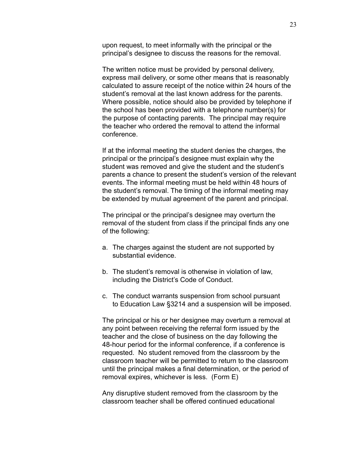upon request, to meet informally with the principal or the principal's designee to discuss the reasons for the removal.

The written notice must be provided by personal delivery, express mail delivery, or some other means that is reasonably calculated to assure receipt of the notice within 24 hours of the student's removal at the last known address for the parents. Where possible, notice should also be provided by telephone if the school has been provided with a telephone number(s) for the purpose of contacting parents. The principal may require the teacher who ordered the removal to attend the informal conference.

If at the informal meeting the student denies the charges, the principal or the principal's designee must explain why the student was removed and give the student and the student's parents a chance to present the student's version of the relevant events. The informal meeting must be held within 48 hours of the student's removal. The timing of the informal meeting may be extended by mutual agreement of the parent and principal.

The principal or the principal's designee may overturn the removal of the student from class if the principal finds any one of the following:

- a. The charges against the student are not supported by substantial evidence.
- b. The student's removal is otherwise in violation of law, including the District's Code of Conduct.
- c. The conduct warrants suspension from school pursuant to Education Law §3214 and a suspension will be imposed.

The principal or his or her designee may overturn a removal at any point between receiving the referral form issued by the teacher and the close of business on the day following the 48-hour period for the informal conference, if a conference is requested. No student removed from the classroom by the classroom teacher will be permitted to return to the classroom until the principal makes a final determination, or the period of removal expires, whichever is less. (Form E)

Any disruptive student removed from the classroom by the classroom teacher shall be offered continued educational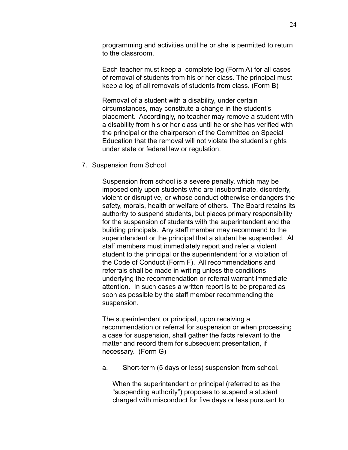programming and activities until he or she is permitted to return to the classroom.

Each teacher must keep a complete log (Form A) for all cases of removal of students from his or her class. The principal must keep a log of all removals of students from class. (Form B)

Removal of a student with a disability, under certain circumstances, may constitute a change in the student's placement. Accordingly, no teacher may remove a student with a disability from his or her class until he or she has verified with the principal or the chairperson of the Committee on Special Education that the removal will not violate the student's rights under state or federal law or regulation.

7. Suspension from School

Suspension from school is a severe penalty, which may be imposed only upon students who are insubordinate, disorderly, violent or disruptive, or whose conduct otherwise endangers the safety, morals, health or welfare of others. The Board retains its authority to suspend students, but places primary responsibility for the suspension of students with the superintendent and the building principals. Any staff member may recommend to the superintendent or the principal that a student be suspended. All staff members must immediately report and refer a violent student to the principal or the superintendent for a violation of the Code of Conduct (Form F). All recommendations and referrals shall be made in writing unless the conditions underlying the recommendation or referral warrant immediate attention. In such cases a written report is to be prepared as soon as possible by the staff member recommending the suspension.

The superintendent or principal, upon receiving a recommendation or referral for suspension or when processing a case for suspension, shall gather the facts relevant to the matter and record them for subsequent presentation, if necessary. (Form G)

a. Short-term (5 days or less) suspension from school.

When the superintendent or principal (referred to as the "suspending authority") proposes to suspend a student charged with misconduct for five days or less pursuant to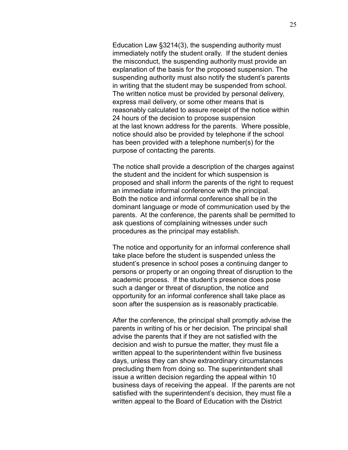Education Law §3214(3), the suspending authority must immediately notify the student orally. If the student denies the misconduct, the suspending authority must provide an explanation of the basis for the proposed suspension. The suspending authority must also notify the student's parents in writing that the student may be suspended from school. The written notice must be provided by personal delivery, express mail delivery, or some other means that is reasonably calculated to assure receipt of the notice within 24 hours of the decision to propose suspension at the last known address for the parents. Where possible, notice should also be provided by telephone if the school has been provided with a telephone number(s) for the purpose of contacting the parents.

The notice shall provide a description of the charges against the student and the incident for which suspension is proposed and shall inform the parents of the right to request an immediate informal conference with the principal. Both the notice and informal conference shall be in the dominant language or mode of communication used by the parents. At the conference, the parents shall be permitted to ask questions of complaining witnesses under such procedures as the principal may establish.

The notice and opportunity for an informal conference shall take place before the student is suspended unless the student's presence in school poses a continuing danger to persons or property or an ongoing threat of disruption to the academic process. If the student's presence does pose such a danger or threat of disruption, the notice and opportunity for an informal conference shall take place as soon after the suspension as is reasonably practicable.

After the conference, the principal shall promptly advise the parents in writing of his or her decision. The principal shall advise the parents that if they are not satisfied with the decision and wish to pursue the matter, they must file a written appeal to the superintendent within five business days, unless they can show extraordinary circumstances precluding them from doing so. The superintendent shall issue a written decision regarding the appeal within 10 business days of receiving the appeal. If the parents are not satisfied with the superintendent's decision, they must file a written appeal to the Board of Education with the District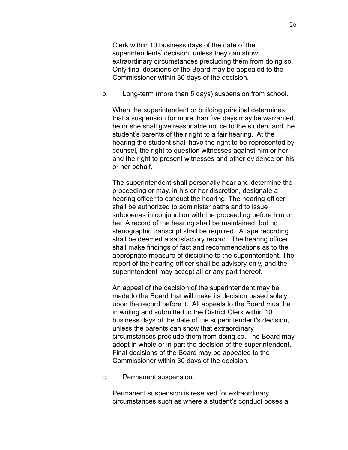Clerk within 10 business days of the date of the superintendents' decision, unless they can show extraordinary circumstances precluding them from doing so. Only final decisions of the Board may be appealed to the Commissioner within 30 days of the decision.

b. Long-term (more than 5 days) suspension from school.

When the superintendent or building principal determines that a suspension for more than five days may be warranted, he or she shall give reasonable notice to the student and the student's parents of their right to a fair hearing. At the hearing the student shall have the right to be represented by counsel, the right to question witnesses against him or her and the right to present witnesses and other evidence on his or her behalf.

The superintendent shall personally hear and determine the proceeding or may, in his or her discretion, designate a hearing officer to conduct the hearing. The hearing officer shall be authorized to administer oaths and to issue subpoenas in conjunction with the proceeding before him or her. A record of the hearing shall be maintained, but no stenographic transcript shall be required. A tape recording shall be deemed a satisfactory record. The hearing officer shall make findings of fact and recommendations as to the appropriate measure of discipline to the superintendent. The report of the hearing officer shall be advisory only, and the superintendent may accept all or any part thereof.

An appeal of the decision of the superintendent may be made to the Board that will make its decision based solely upon the record before it. All appeals to the Board must be in writing and submitted to the District Clerk within 10 business days of the date of the superintendent's decision, unless the parents can show that extraordinary circumstances preclude them from doing so. The Board may adopt in whole or in part the decision of the superintendent. Final decisions of the Board may be appealed to the Commissioner within 30 days of the decision.

c. Permanent suspension.

Permanent suspension is reserved for extraordinary circumstances such as where a student's conduct poses a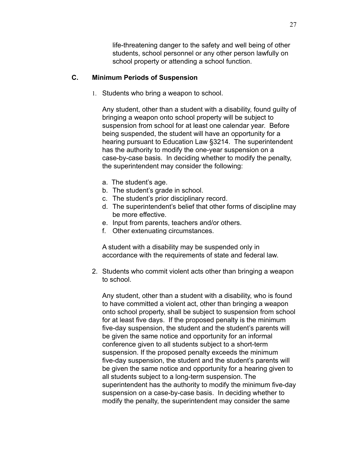life-threatening danger to the safety and well being of other students, school personnel or any other person lawfully on school property or attending a school function.

### **C. Minimum Periods of Suspension**

1. Students who bring a weapon to school.

Any student, other than a student with a disability, found guilty of bringing a weapon onto school property will be subject to suspension from school for at least one calendar year. Before being suspended, the student will have an opportunity for a hearing pursuant to Education Law §3214. The superintendent has the authority to modify the one-year suspension on a case-by-case basis. In deciding whether to modify the penalty, the superintendent may consider the following:

- a. The student's age.
- b. The student's grade in school.
- c. The student's prior disciplinary record.
- d. The superintendent's belief that other forms of discipline may be more effective.
- e. Input from parents, teachers and/or others.
- f. Other extenuating circumstances.

A student with a disability may be suspended only in accordance with the requirements of state and federal law.

2. Students who commit violent acts other than bringing a weapon to school.

Any student, other than a student with a disability, who is found to have committed a violent act, other than bringing a weapon onto school property, shall be subject to suspension from school for at least five days. If the proposed penalty is the minimum five-day suspension, the student and the student's parents will be given the same notice and opportunity for an informal conference given to all students subject to a short-term suspension. If the proposed penalty exceeds the minimum five-day suspension, the student and the student's parents will be given the same notice and opportunity for a hearing given to all students subject to a long-term suspension. The superintendent has the authority to modify the minimum five-day suspension on a case-by-case basis. In deciding whether to modify the penalty, the superintendent may consider the same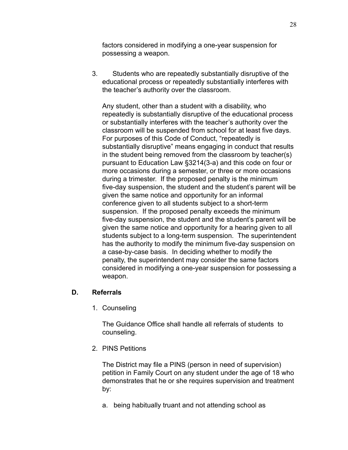factors considered in modifying a one-year suspension for possessing a weapon.

3. Students who are repeatedly substantially disruptive of the educational process or repeatedly substantially interferes with the teacher's authority over the classroom.

Any student, other than a student with a disability, who repeatedly is substantially disruptive of the educational process or substantially interferes with the teacher's authority over the classroom will be suspended from school for at least five days. For purposes of this Code of Conduct, "repeatedly is substantially disruptive" means engaging in conduct that results in the student being removed from the classroom by teacher(s) pursuant to Education Law §3214(3-a) and this code on four or more occasions during a semester, or three or more occasions during a trimester. If the proposed penalty is the minimum five-day suspension, the student and the student's parent will be given the same notice and opportunity for an informal conference given to all students subject to a short-term suspension. If the proposed penalty exceeds the minimum five-day suspension, the student and the student's parent will be given the same notice and opportunity for a hearing given to all students subject to a long-term suspension. The superintendent has the authority to modify the minimum five-day suspension on a case-by-case basis. In deciding whether to modify the penalty, the superintendent may consider the same factors considered in modifying a one-year suspension for possessing a weapon.

### **D. Referrals**

1. Counseling

The Guidance Office shall handle all referrals of students to counseling.

2. PINS Petitions

The District may file a PINS (person in need of supervision) petition in Family Court on any student under the age of 18 who demonstrates that he or she requires supervision and treatment by:

a. being habitually truant and not attending school as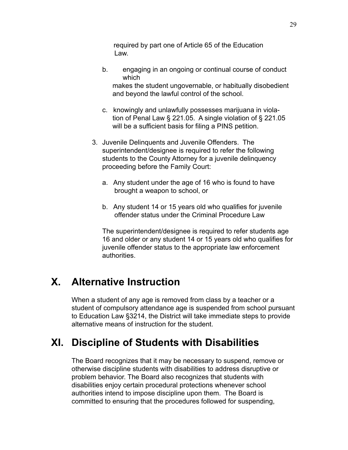required by part one of Article 65 of the Education Law.

b. engaging in an ongoing or continual course of conduct which

makes the student ungovernable, or habitually disobedient and beyond the lawful control of the school.

- c. knowingly and unlawfully possesses marijuana in violation of Penal Law § 221.05. A single violation of § 221.05 will be a sufficient basis for filing a PINS petition.
- 3. Juvenile Delinquents and Juvenile Offenders. The superintendent/designee is required to refer the following students to the County Attorney for a juvenile delinquency proceeding before the Family Court:
	- a. Any student under the age of 16 who is found to have brought a weapon to school, or
	- b. Any student 14 or 15 years old who qualifies for juvenile offender status under the Criminal Procedure Law

The superintendent/designee is required to refer students age 16 and older or any student 14 or 15 years old who qualifies for juvenile offender status to the appropriate law enforcement authorities.

# **X. Alternative Instruction**

When a student of any age is removed from class by a teacher or a student of compulsory attendance age is suspended from school pursuant to Education Law §3214, the District will take immediate steps to provide alternative means of instruction for the student.

# **XI. Discipline of Students with Disabilities**

The Board recognizes that it may be necessary to suspend, remove or otherwise discipline students with disabilities to address disruptive or problem behavior. The Board also recognizes that students with disabilities enjoy certain procedural protections whenever school authorities intend to impose discipline upon them. The Board is committed to ensuring that the procedures followed for suspending,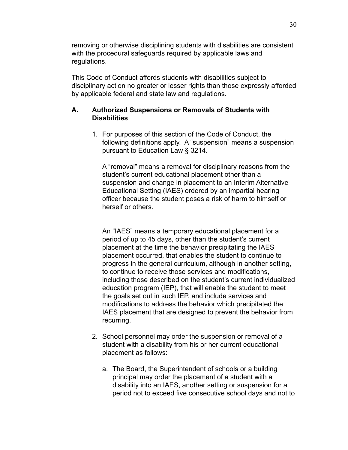removing or otherwise disciplining students with disabilities are consistent with the procedural safeguards required by applicable laws and regulations.

This Code of Conduct affords students with disabilities subject to disciplinary action no greater or lesser rights than those expressly afforded by applicable federal and state law and regulations.

## **A. Authorized Suspensions or Removals of Students with Disabilities**

1. For purposes of this section of the Code of Conduct, the following definitions apply. A "suspension" means a suspension pursuant to Education Law § 3214.

A "removal" means a removal for disciplinary reasons from the student's current educational placement other than a suspension and change in placement to an Interim Alternative Educational Setting (IAES) ordered by an impartial hearing officer because the student poses a risk of harm to himself or herself or others.

An "IAES" means a temporary educational placement for a period of up to 45 days, other than the student's current placement at the time the behavior precipitating the IAES placement occurred, that enables the student to continue to progress in the general curriculum, although in another setting, to continue to receive those services and modifications, including those described on the student's current individualized education program (IEP), that will enable the student to meet the goals set out in such IEP, and include services and modifications to address the behavior which precipitated the IAES placement that are designed to prevent the behavior from recurring.

- 2. School personnel may order the suspension or removal of a student with a disability from his or her current educational placement as follows:
	- a. The Board, the Superintendent of schools or a building principal may order the placement of a student with a disability into an IAES, another setting or suspension for a period not to exceed five consecutive school days and not to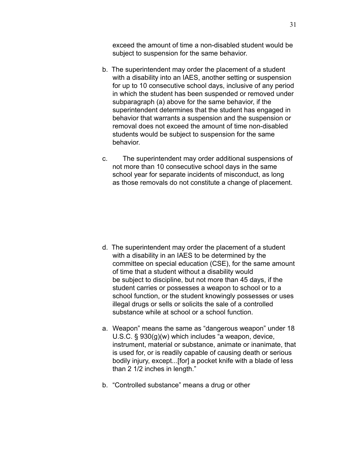exceed the amount of time a non-disabled student would be subject to suspension for the same behavior.

- b. The superintendent may order the placement of a student with a disability into an IAES, another setting or suspension for up to 10 consecutive school days, inclusive of any period in which the student has been suspended or removed under subparagraph (a) above for the same behavior, if the superintendent determines that the student has engaged in behavior that warrants a suspension and the suspension or removal does not exceed the amount of time non-disabled students would be subject to suspension for the same behavior.
- c. The superintendent may order additional suspensions of not more than 10 consecutive school days in the same school year for separate incidents of misconduct, as long as those removals do not constitute a change of placement.

- d. The superintendent may order the placement of a student with a disability in an IAES to be determined by the committee on special education (CSE), for the same amount of time that a student without a disability would be subject to discipline, but not more than 45 days, if the student carries or possesses a weapon to school or to a school function, or the student knowingly possesses or uses illegal drugs or sells or solicits the sale of a controlled substance while at school or a school function.
- a. Weapon" means the same as "dangerous weapon" under 18 U.S.C. § 930(g)(w) which includes "a weapon, device, instrument, material or substance, animate or inanimate, that is used for, or is readily capable of causing death or serious bodily injury, except...[for] a pocket knife with a blade of less than 2 1/2 inches in length."
- b. "Controlled substance" means a drug or other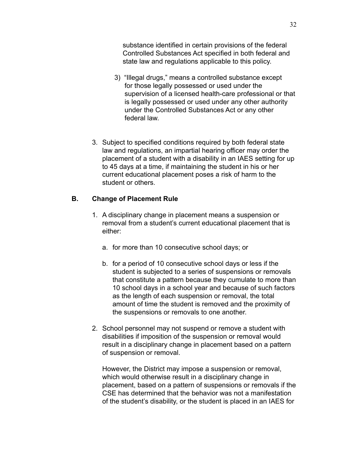substance identified in certain provisions of the federal Controlled Substances Act specified in both federal and state law and regulations applicable to this policy.

- 3) "Illegal drugs," means a controlled substance except for those legally possessed or used under the supervision of a licensed health-care professional or that is legally possessed or used under any other authority under the Controlled Substances Act or any other federal law.
- 3. Subject to specified conditions required by both federal state law and regulations, an impartial hearing officer may order the placement of a student with a disability in an IAES setting for up to 45 days at a time, if maintaining the student in his or her current educational placement poses a risk of harm to the student or others.

## **B. Change of Placement Rule**

- 1. A disciplinary change in placement means a suspension or removal from a student's current educational placement that is either:
	- a. for more than 10 consecutive school days; or
	- b. for a period of 10 consecutive school days or less if the student is subjected to a series of suspensions or removals that constitute a pattern because they cumulate to more than 10 school days in a school year and because of such factors as the length of each suspension or removal, the total amount of time the student is removed and the proximity of the suspensions or removals to one another.
- 2. School personnel may not suspend or remove a student with disabilities if imposition of the suspension or removal would result in a disciplinary change in placement based on a pattern of suspension or removal.

However, the District may impose a suspension or removal, which would otherwise result in a disciplinary change in placement, based on a pattern of suspensions or removals if the CSE has determined that the behavior was not a manifestation of the student's disability, or the student is placed in an IAES for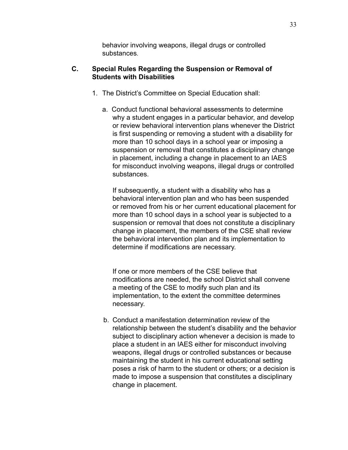behavior involving weapons, illegal drugs or controlled substances.

### **C. Special Rules Regarding the Suspension or Removal of Students with Disabilities**

- 1. The District's Committee on Special Education shall:
	- a. Conduct functional behavioral assessments to determine why a student engages in a particular behavior, and develop or review behavioral intervention plans whenever the District is first suspending or removing a student with a disability for more than 10 school days in a school year or imposing a suspension or removal that constitutes a disciplinary change in placement, including a change in placement to an IAES for misconduct involving weapons, illegal drugs or controlled substances.

If subsequently, a student with a disability who has a behavioral intervention plan and who has been suspended or removed from his or her current educational placement for more than 10 school days in a school year is subjected to a suspension or removal that does not constitute a disciplinary change in placement, the members of the CSE shall review the behavioral intervention plan and its implementation to determine if modifications are necessary.

If one or more members of the CSE believe that modifications are needed, the school District shall convene a meeting of the CSE to modify such plan and its implementation, to the extent the committee determines necessary.

b. Conduct a manifestation determination review of the relationship between the student's disability and the behavior subject to disciplinary action whenever a decision is made to place a student in an IAES either for misconduct involving weapons, illegal drugs or controlled substances or because maintaining the student in his current educational setting poses a risk of harm to the student or others; or a decision is made to impose a suspension that constitutes a disciplinary change in placement.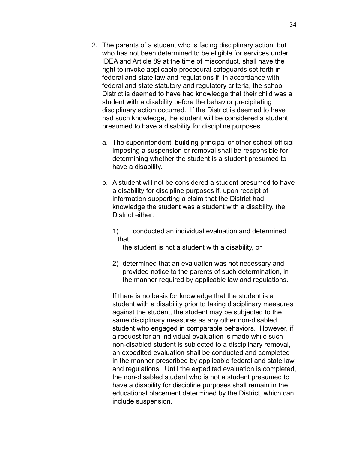- 2. The parents of a student who is facing disciplinary action, but who has not been determined to be eligible for services under IDEA and Article 89 at the time of misconduct, shall have the right to invoke applicable procedural safeguards set forth in federal and state law and regulations if, in accordance with federal and state statutory and regulatory criteria, the school District is deemed to have had knowledge that their child was a student with a disability before the behavior precipitating disciplinary action occurred. If the District is deemed to have had such knowledge, the student will be considered a student presumed to have a disability for discipline purposes.
	- a. The superintendent, building principal or other school official imposing a suspension or removal shall be responsible for determining whether the student is a student presumed to have a disability.
	- b. A student will not be considered a student presumed to have a disability for discipline purposes if, upon receipt of information supporting a claim that the District had knowledge the student was a student with a disability, the District either:
		- 1) conducted an individual evaluation and determined that

the student is not a student with a disability, or

2) determined that an evaluation was not necessary and provided notice to the parents of such determination, in the manner required by applicable law and regulations.

If there is no basis for knowledge that the student is a student with a disability prior to taking disciplinary measures against the student, the student may be subjected to the same disciplinary measures as any other non-disabled student who engaged in comparable behaviors. However, if a request for an individual evaluation is made while such non-disabled student is subjected to a disciplinary removal, an expedited evaluation shall be conducted and completed in the manner prescribed by applicable federal and state law and regulations. Until the expedited evaluation is completed, the non-disabled student who is not a student presumed to have a disability for discipline purposes shall remain in the educational placement determined by the District, which can include suspension.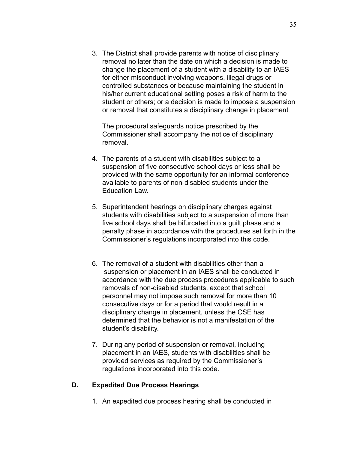3. The District shall provide parents with notice of disciplinary removal no later than the date on which a decision is made to change the placement of a student with a disability to an IAES for either misconduct involving weapons, illegal drugs or controlled substances or because maintaining the student in his/her current educational setting poses a risk of harm to the student or others; or a decision is made to impose a suspension or removal that constitutes a disciplinary change in placement.

The procedural safeguards notice prescribed by the Commissioner shall accompany the notice of disciplinary removal.

- 4. The parents of a student with disabilities subject to a suspension of five consecutive school days or less shall be provided with the same opportunity for an informal conference available to parents of non-disabled students under the Education Law.
- 5. Superintendent hearings on disciplinary charges against students with disabilities subject to a suspension of more than five school days shall be bifurcated into a guilt phase and a penalty phase in accordance with the procedures set forth in the Commissioner's regulations incorporated into this code.
- 6. The removal of a student with disabilities other than a suspension or placement in an IAES shall be conducted in accordance with the due process procedures applicable to such removals of non-disabled students, except that school personnel may not impose such removal for more than 10 consecutive days or for a period that would result in a disciplinary change in placement, unless the CSE has determined that the behavior is not a manifestation of the student's disability.
- 7. During any period of suspension or removal, including placement in an IAES, students with disabilities shall be provided services as required by the Commissioner's regulations incorporated into this code.

### **D. Expedited Due Process Hearings**

1. An expedited due process hearing shall be conducted in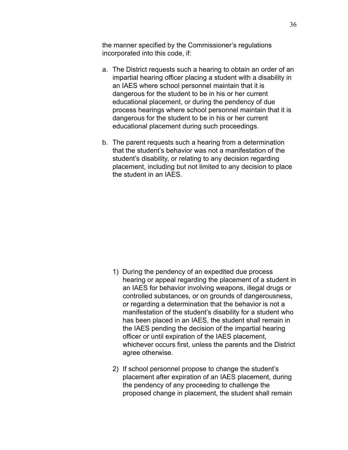the manner specified by the Commissioner's regulations incorporated into this code, if:

- a. The District requests such a hearing to obtain an order of an impartial hearing officer placing a student with a disability in an IAES where school personnel maintain that it is dangerous for the student to be in his or her current educational placement, or during the pendency of due process hearings where school personnel maintain that it is dangerous for the student to be in his or her current educational placement during such proceedings.
- b. The parent requests such a hearing from a determination that the student's behavior was not a manifestation of the student's disability, or relating to any decision regarding placement, including but not limited to any decision to place the student in an IAES.

- 1) During the pendency of an expedited due process hearing or appeal regarding the placement of a student in an IAES for behavior involving weapons, illegal drugs or controlled substances, or on grounds of dangerousness, or regarding a determination that the behavior is not a manifestation of the student's disability for a student who has been placed in an IAES, the student shall remain in the IAES pending the decision of the impartial hearing officer or until expiration of the IAES placement, whichever occurs first, unless the parents and the District agree otherwise.
- 2) If school personnel propose to change the student's placement after expiration of an IAES placement, during the pendency of any proceeding to challenge the proposed change in placement, the student shall remain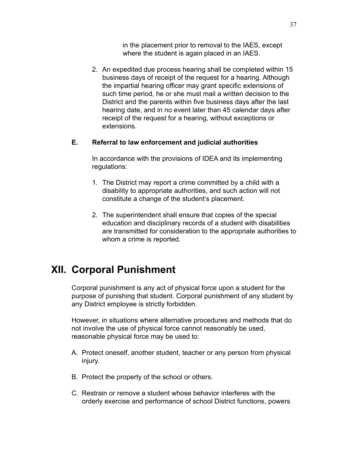in the placement prior to removal to the IAES, except where the student is again placed in an IAES.

2. An expedited due process hearing shall be completed within 15 business days of receipt of the request for a hearing. Although the impartial hearing officer may grant specific extensions of such time period, he or she must mail a written decision to the District and the parents within five business days after the last hearing date, and in no event later than 45 calendar days after receipt of the request for a hearing, without exceptions or extensions.

### **E. Referral to law enforcement and judicial authorities**

In accordance with the provisions of IDEA and its implementing regulations:

- 1. The District may report a crime committed by a child with a disability to appropriate authorities, and such action will not constitute a change of the student's placement.
- 2. The superintendent shall ensure that copies of the special education and disciplinary records of a student with disabilities are transmitted for consideration to the appropriate authorities to whom a crime is reported.

# **XII. Corporal Punishment**

Corporal punishment is any act of physical force upon a student for the purpose of punishing that student. Corporal punishment of any student by any District employee is strictly forbidden.

However, in situations where alternative procedures and methods that do not involve the use of physical force cannot reasonably be used, reasonable physical force may be used to:

- A. Protect oneself, another student, teacher or any person from physical injury.
- B. Protect the property of the school or others.
- C. Restrain or remove a student whose behavior interferes with the orderly exercise and performance of school District functions, powers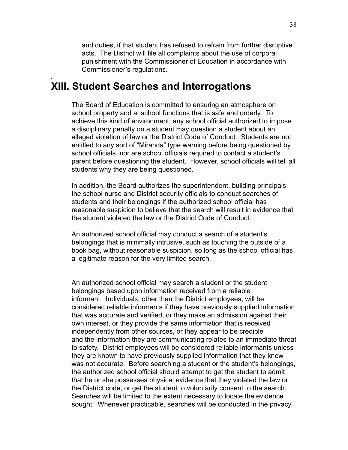and duties, if that student has refused to refrain from further disruptive acts. The District will file all complaints about the use of corporal punishment with the Commissioner of Education in accordance with Commissioner's regulations.

## **XIII. Student Searches and Interrogations**

*.*

The Board of Education is committed to ensuring an atmosphere on school property and at school functions that is safe and orderly. To achieve this kind of environment, any school official authorized to impose a disciplinary penalty on a student may question a student about an alleged violation of law or the District Code of Conduct. Students are not entitled to any sort of "Miranda" type warning before being questioned by school officials, nor are school officials required to contact a student's parent before questioning the student. However, school officials will tell all students why they are being questioned.

In addition, the Board authorizes the superintendent, building principals, the school nurse and District security officials to conduct searches of students and their belongings if the authorized school official has reasonable suspicion to believe that the search will result in evidence that the student violated the law or the District Code of Conduct.

An authorized school official may conduct a search of a student's belongings that is minimally intrusive, such as touching the outside of a book bag, without reasonable suspicion, so long as the school official has a legitimate reason for the very limited search.

An authorized school official may search a student or the student belongings based upon information received from a reliable informant. Individuals, other than the District employees, will be considered reliable informants if they have previously supplied information that was accurate and verified, or they make an admission against their own interest, or they provide the same information that is received independently from other sources, or they appear to be credible and the information they are communicating relates to an immediate threat to safety. District employees will be considered reliable informants unless they are known to have previously supplied information that they knew was not accurate. Before searching a student or the student's belongings, the authorized school official should attempt to get the student to admit that he or she possesses physical evidence that they violated the law or the District code, or get the student to voluntarily consent to the search. Searches will be limited to the extent necessary to locate the evidence sought. Whenever practicable, searches will be conducted in the privacy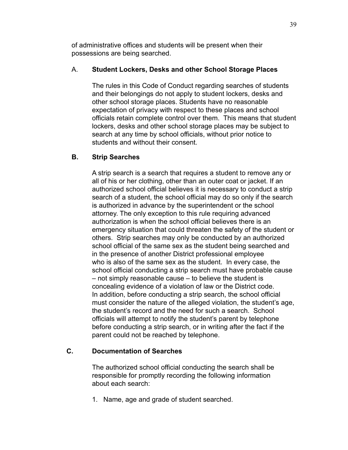of administrative offices and students will be present when their possessions are being searched.

## A. **Student Lockers, Desks and other School Storage Places**

The rules in this Code of Conduct regarding searches of students and their belongings do not apply to student lockers, desks and other school storage places. Students have no reasonable expectation of privacy with respect to these places and school officials retain complete control over them. This means that student lockers, desks and other school storage places may be subject to search at any time by school officials, without prior notice to students and without their consent.

## **B. Strip Searches**

A strip search is a search that requires a student to remove any or all of his or her clothing, other than an outer coat or jacket. If an authorized school official believes it is necessary to conduct a strip search of a student, the school official may do so only if the search is authorized in advance by the superintendent or the school attorney. The only exception to this rule requiring advanced authorization is when the school official believes there is an emergency situation that could threaten the safety of the student or others. Strip searches may only be conducted by an authorized school official of the same sex as the student being searched and in the presence of another District professional employee who is also of the same sex as the student. In every case, the school official conducting a strip search must have probable cause – not simply reasonable cause – to believe the student is concealing evidence of a violation of law or the District code. In addition, before conducting a strip search, the school official must consider the nature of the alleged violation, the student's age, the student's record and the need for such a search. School officials will attempt to notify the student's parent by telephone before conducting a strip search, or in writing after the fact if the parent could not be reached by telephone.

## **C. Documentation of Searches**

The authorized school official conducting the search shall be responsible for promptly recording the following information about each search:

1. Name, age and grade of student searched.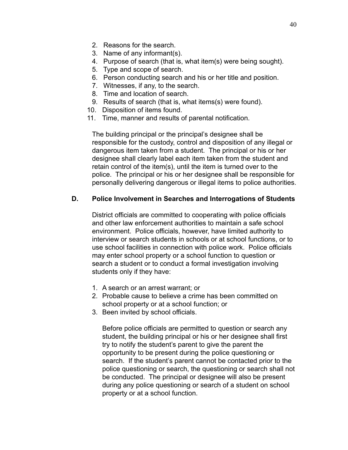- 2. Reasons for the search.
- 3. Name of any informant(s).
- 4. Purpose of search (that is, what item(s) were being sought).
- 5. Type and scope of search.
- 6. Person conducting search and his or her title and position.
- 7. Witnesses, if any, to the search.
- 8. Time and location of search.
- 9. Results of search (that is, what items(s) were found).
- 10. Disposition of items found.
- 11. Time, manner and results of parental notification.

The building principal or the principal's designee shall be responsible for the custody, control and disposition of any illegal or dangerous item taken from a student. The principal or his or her designee shall clearly label each item taken from the student and retain control of the item(s), until the item is turned over to the police. The principal or his or her designee shall be responsible for personally delivering dangerous or illegal items to police authorities.

## **D. Police Involvement in Searches and Interrogations of Students**

District officials are committed to cooperating with police officials and other law enforcement authorities to maintain a safe school environment. Police officials, however, have limited authority to interview or search students in schools or at school functions, or to use school facilities in connection with police work. Police officials may enter school property or a school function to question or search a student or to conduct a formal investigation involving students only if they have:

- 1. A search or an arrest warrant; or
- 2. Probable cause to believe a crime has been committed on school property or at a school function; or
- 3. Been invited by school officials.

Before police officials are permitted to question or search any student, the building principal or his or her designee shall first try to notify the student's parent to give the parent the opportunity to be present during the police questioning or search. If the student's parent cannot be contacted prior to the police questioning or search, the questioning or search shall not be conducted. The principal or designee will also be present during any police questioning or search of a student on school property or at a school function.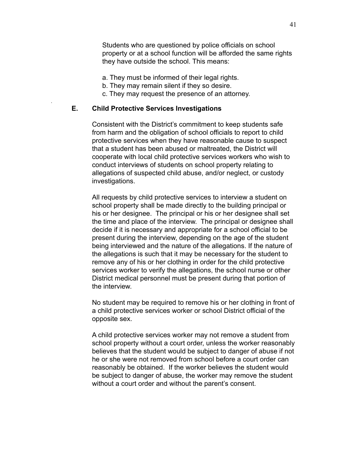Students who are questioned by police officials on school property or at a school function will be afforded the same rights they have outside the school. This means:

- a. They must be informed of their legal rights.
- b. They may remain silent if they so desire.
- c. They may request the presence of an attorney.

#### **E. Child Protective Services Investigations**

*.*

Consistent with the District's commitment to keep students safe from harm and the obligation of school officials to report to child protective services when they have reasonable cause to suspect that a student has been abused or maltreated, the District will cooperate with local child protective services workers who wish to conduct interviews of students on school property relating to allegations of suspected child abuse, and/or neglect, or custody investigations.

All requests by child protective services to interview a student on school property shall be made directly to the building principal or his or her designee. The principal or his or her designee shall set the time and place of the interview. The principal or designee shall decide if it is necessary and appropriate for a school official to be present during the interview, depending on the age of the student being interviewed and the nature of the allegations. If the nature of the allegations is such that it may be necessary for the student to remove any of his or her clothing in order for the child protective services worker to verify the allegations, the school nurse or other District medical personnel must be present during that portion of the interview.

No student may be required to remove his or her clothing in front of a child protective services worker or school District official of the opposite sex.

A child protective services worker may not remove a student from school property without a court order, unless the worker reasonably believes that the student would be subject to danger of abuse if not he or she were not removed from school before a court order can reasonably be obtained. If the worker believes the student would be subject to danger of abuse, the worker may remove the student without a court order and without the parent's consent.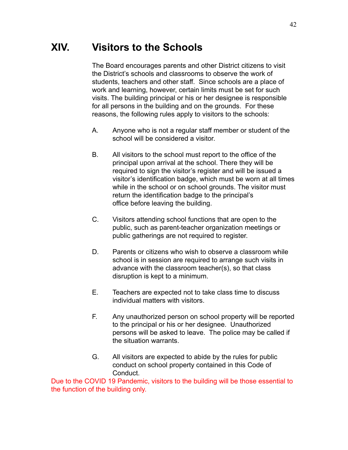# **XIV. Visitors to the Schools**

The Board encourages parents and other District citizens to visit the District's schools and classrooms to observe the work of students, teachers and other staff. Since schools are a place of work and learning, however, certain limits must be set for such visits. The building principal or his or her designee is responsible for all persons in the building and on the grounds. For these reasons, the following rules apply to visitors to the schools:

- A. Anyone who is not a regular staff member or student of the school will be considered a visitor.
- B. All visitors to the school must report to the office of the principal upon arrival at the school. There they will be required to sign the visitor's register and will be issued a visitor's identification badge, which must be worn at all times while in the school or on school grounds. The visitor must return the identification badge to the principal's office before leaving the building.
- C. Visitors attending school functions that are open to the public, such as parent-teacher organization meetings or public gatherings are not required to register.
- D. Parents or citizens who wish to observe a classroom while school is in session are required to arrange such visits in advance with the classroom teacher(s), so that class disruption is kept to a minimum.
- E. Teachers are expected not to take class time to discuss individual matters with visitors.
- F. Any unauthorized person on school property will be reported to the principal or his or her designee. Unauthorized persons will be asked to leave. The police may be called if the situation warrants.
- G. All visitors are expected to abide by the rules for public conduct on school property contained in this Code of **Conduct**

Due to the COVID 19 Pandemic, visitors to the building will be those essential to the function of the building only.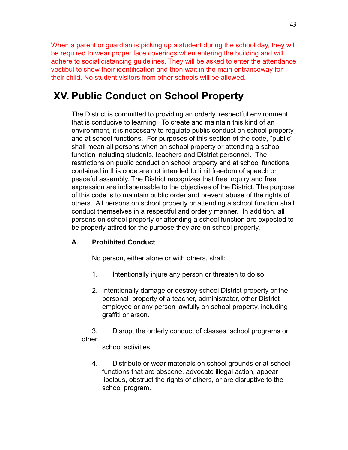When a parent or guardian is picking up a student during the school day, they will be required to wear proper face coverings when entering the building and will adhere to social distancing guidelines. They will be asked to enter the attendance vestibul to show their identification and then wait in the main entranceway for their child. No student visitors from other schools will be allowed.

# **XV. Public Conduct on School Property**

The District is committed to providing an orderly, respectful environment that is conducive to learning. To create and maintain this kind of an environment, it is necessary to regulate public conduct on school property and at school functions. For purposes of this section of the code, "public" shall mean all persons when on school property or attending a school function including students, teachers and District personnel. The restrictions on public conduct on school property and at school functions contained in this code are not intended to limit freedom of speech or peaceful assembly. The District recognizes that free inquiry and free expression are indispensable to the objectives of the District. The purpose of this code is to maintain public order and prevent abuse of the rights of others. All persons on school property or attending a school function shall conduct themselves in a respectful and orderly manner. In addition, all persons on school property or attending a school function are expected to be properly attired for the purpose they are on school property.

## **A. Prohibited Conduct**

No person, either alone or with others, shall:

- 1. Intentionally injure any person or threaten to do so.
- 2. Intentionally damage or destroy school District property or the personal property of a teacher, administrator, other District employee or any person lawfully on school property, including graffiti or arson.

3. Disrupt the orderly conduct of classes, school programs or other

school activities.

4. Distribute or wear materials on school grounds or at school functions that are obscene, advocate illegal action, appear libelous, obstruct the rights of others, or are disruptive to the school program.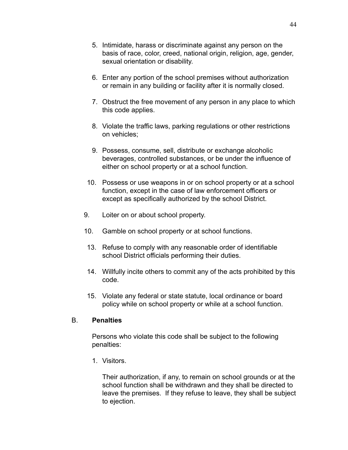- 5. Intimidate, harass or discriminate against any person on the basis of race, color, creed, national origin, religion, age, gender, sexual orientation or disability.
- 6. Enter any portion of the school premises without authorization or remain in any building or facility after it is normally closed.
- 7. Obstruct the free movement of any person in any place to which this code applies.
- 8. Violate the traffic laws, parking regulations or other restrictions on vehicles;
- 9. Possess, consume, sell, distribute or exchange alcoholic beverages, controlled substances, or be under the influence of either on school property or at a school function.
- 10. Possess or use weapons in or on school property or at a school function, except in the case of law enforcement officers or except as specifically authorized by the school District.
- 9. Loiter on or about school property.
- 10. Gamble on school property or at school functions.
- 13. Refuse to comply with any reasonable order of identifiable school District officials performing their duties.
- 14. Willfully incite others to commit any of the acts prohibited by this code.
- 15. Violate any federal or state statute, local ordinance or board policy while on school property or while at a school function.

### B. **Penalties**

Persons who violate this code shall be subject to the following penalties:

1. Visitors.

Their authorization, if any, to remain on school grounds or at the school function shall be withdrawn and they shall be directed to leave the premises. If they refuse to leave, they shall be subject to ejection.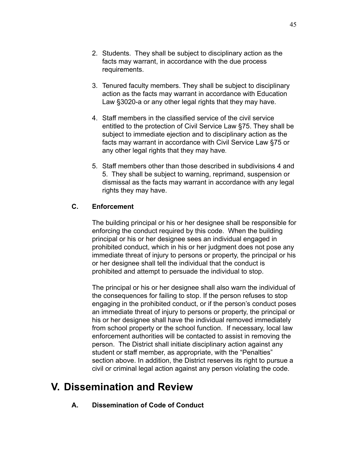- 2. Students. They shall be subject to disciplinary action as the facts may warrant, in accordance with the due process requirements.
- 3. Tenured faculty members. They shall be subject to disciplinary action as the facts may warrant in accordance with Education Law §3020-a or any other legal rights that they may have.
- 4. Staff members in the classified service of the civil service entitled to the protection of Civil Service Law §75. They shall be subject to immediate ejection and to disciplinary action as the facts may warrant in accordance with Civil Service Law §75 or any other legal rights that they may have.
- 5. Staff members other than those described in subdivisions 4 and 5. They shall be subject to warning, reprimand, suspension or dismissal as the facts may warrant in accordance with any legal rights they may have.

## **C. Enforcement**

The building principal or his or her designee shall be responsible for enforcing the conduct required by this code. When the building principal or his or her designee sees an individual engaged in prohibited conduct, which in his or her judgment does not pose any immediate threat of injury to persons or property, the principal or his or her designee shall tell the individual that the conduct is prohibited and attempt to persuade the individual to stop.

The principal or his or her designee shall also warn the individual of the consequences for failing to stop. If the person refuses to stop engaging in the prohibited conduct, or if the person's conduct poses an immediate threat of injury to persons or property, the principal or his or her designee shall have the individual removed immediately from school property or the school function. If necessary, local law enforcement authorities will be contacted to assist in removing the person. The District shall initiate disciplinary action against any student or staff member, as appropriate, with the "Penalties" section above. In addition, the District reserves its right to pursue a civil or criminal legal action against any person violating the code.

# **V. Dissemination and Review**

**A. Dissemination of Code of Conduct**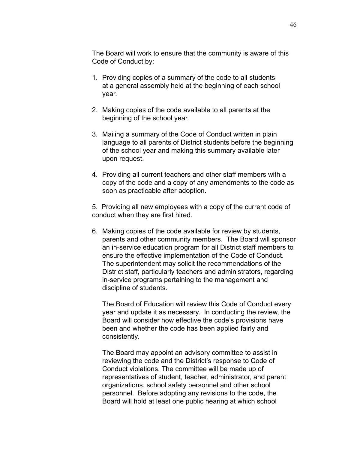The Board will work to ensure that the community is aware of this Code of Conduct by:

- 1. Providing copies of a summary of the code to all students at a general assembly held at the beginning of each school year.
- 2. Making copies of the code available to all parents at the beginning of the school year.
- 3. Mailing a summary of the Code of Conduct written in plain language to all parents of District students before the beginning of the school year and making this summary available later upon request.
- 4. Providing all current teachers and other staff members with a copy of the code and a copy of any amendments to the code as soon as practicable after adoption.

5. Providing all new employees with a copy of the current code of conduct when they are first hired.

6. Making copies of the code available for review by students, parents and other community members. The Board will sponsor an in-service education program for all District staff members to ensure the effective implementation of the Code of Conduct. The superintendent may solicit the recommendations of the District staff, particularly teachers and administrators, regarding in-service programs pertaining to the management and discipline of students.

The Board of Education will review this Code of Conduct every year and update it as necessary. In conducting the review, the Board will consider how effective the code's provisions have been and whether the code has been applied fairly and consistently.

The Board may appoint an advisory committee to assist in reviewing the code and the District's response to Code of Conduct violations. The committee will be made up of representatives of student, teacher, administrator, and parent organizations, school safety personnel and other school personnel. Before adopting any revisions to the code, the Board will hold at least one public hearing at which school